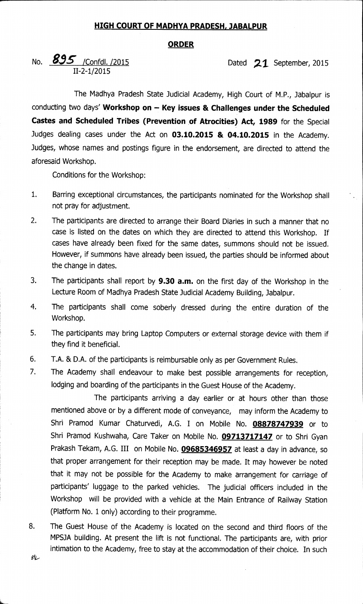## **HIGH COURT OF MADHYA PRADESH, JABALPUR**

## **ORDER**

No. **895** / Confdl. /2015 **Dated** 21 September, 2015 II-2-1/2015

The Madhya Pradesh State Judicial Academy, High Court of M.P., Jabalpur is conducting two days' **Workshop on — Key issues & Challenges under the Scheduled Castes and Scheduled Tribes (Prevention of Atrocities) Act, 1989** for the Special Judges dealing cases under the Act on 03.10.2015 & 04.10.2015 in the Academy. Judges, whose names and postings figure in the endorsement, are directed to attend the aforesaid Workshop.

Conditions for the Workshop:

- 1. Barring exceptional circumstances, the participants nominated for the Workshop shall not pray for adjustment.
- 2. The participants are directed to arrange their Board Diaries in such a manner that no case is listed on the dates on which they are directed to attend this Workshop. If cases have already been fixed for the same dates, summons should not be issued. However, if summons have already been issued, the parties should be informed about the change in dates.
- 3. The participants shall report by **9.30 a.m.** on the first day of the Workshop in the Lecture Room of Madhya Pradesh State Judicial Academy Building, Jabalpur.
- 4. The participants shall come soberly dressed during the entire duration of the Workshop.
- 5. The participants may bring Laptop Computers or external storage device with them if they find it beneficial.
- 6. T.A. & D.A. of the participants is reimbursable only as per Government Rules.
- 7. The Academy shall endeavour to make best possible arrangements for reception, lodging and boarding of the participants in the Guest House of the Academy.

The participants arriving a day earlier or at hours other than those mentioned above or by a different mode of conveyance, may inform the Academy to Shri Pramod Kumar Chaturvedi, A.G. I on Mobile No. **08878747939** or to Shri Pramod Kushwaha, Care Taker on Mobile No. **09713717147** or to Shri Gyan Prakash Tekam, A.G. III on Mobile No. **09685346957** at least a day in advance, so that proper arrangement for their reception may be made. It may however be noted that it may not be possible for the Academy to make arrangement for carriage of participants' luggage to the parked vehicles. The judicial officers included in the Workshop will be provided with a vehicle at the Main Entrance of Railway Station (Platform No. 1 only) according to their programme.

8. The Guest House of the Academy is located on the second and third floors of the MPSJA building. At present the lift is not functional. The participants are, with prior intimation to the Academy, free to stay at the accommodation of their choice. In such 乱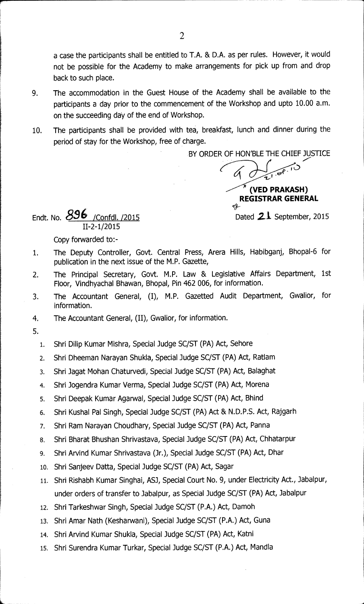a case the participants shall be entitled to T.A. & D.A. as per rules. However, it would not be possible for the Academy to make arrangements for pick up from and drop back to such place.

- 9. The accommodation in the Guest House of the Academy shall be available to the participants a day prior to the commencement of the Workshop and upto 10.00 a.m. on the succeeding day of the end of Workshop.
- 10. The participants shall be provided with tea, breakfast, lunch and dinner during the period of stay for the Workshop, free of charge.

BY ORDER OF HON'BLE THE CHIEF JUSTICE

IL) **(VED PRAKASH) REGISTRAR GENERAL** 

Endt. No.  $896$  /Confdl. /2015 II-2-1/2015

Dated 21 September, 2015

Copy forwarded to:-

- 1. The Deputy Controller, Govt. Central Press, Arera Hills, Habibganj, Bhopal-6 for publication in the next issue of the M.P. Gazette,
- 2. The Principal Secretary, Govt. M.P. Law & Legislative Affairs Department, 1st Floor, Vindhyachal Bhawan, Bhopal, Pin 462 006, for information.
- 3. The Accountant General, (I), M.P. Gazetted Audit Department, Gwalior, for information.
- 4. The Accountant General, (II), Gwalior, for information.
- 5.
	- 1. Shri Dilip Kumar Mishra, Special Judge SC/ST (PA) Act, Sehore
	- 2. Shri Dheeman Narayan Shukla, Special Judge SC/ST (PA) Act, Ratlam
	- 3. Shri Jagat Mohan Chaturvedi, Special Judge SC/ST (PA) Act, Balaghat
	- 4. Shri Jogendra Kumar Verma, Special Judge SC/ST (PA) Act, Morena
	- 5. Shri Deepak Kumar Agarwal, Special Judge SC/ST (PA) Act, Bhind
	- 6. Shri Kushal Pal Singh, Special Judge SC/ST (PA) Act & N.D.P.S. Act, Rajgarh
	- 7. Shri Ram Narayan Choudhary, Special Judge SC/ST (PA) Act, Panna
	- 8. Shri Bharat Bhushan Shrivastava, Special Judge SC/ST (PA) Act, Chhatarpur
	- 9. Shri Arvind Kumar Shrivastava (Jr.), Special Judge SC/ST (PA) Act, Dhar
	- 10. Shri Sanjeev Datta, Special Judge SC/ST (PA) Act, Sagar
	- Shri Rishabh Kumar Singhai, ASJ, Special Court No. 9, under Electricity Act., Jabalpur, 11. under orders of transfer to Jabalpur, as Special Judge SC/ST (PA) Act, Jabalpur
	- 12. Shri Tarkeshwar Singh, Special Judge SC/ST (P.A.) Act, Damoh
	- 13. Shri Amar Nath (Kesharwani), Special Judge SC/ST (P.A.) Act, Guna
	- 14. Shri Arvind Kumar Shukla, Special Judge SC/ST (PA) Act, Katni
	- 15. Shri Surendra Kumar Turkar, Special Judge SC/ST (P.A.) Act, Mandla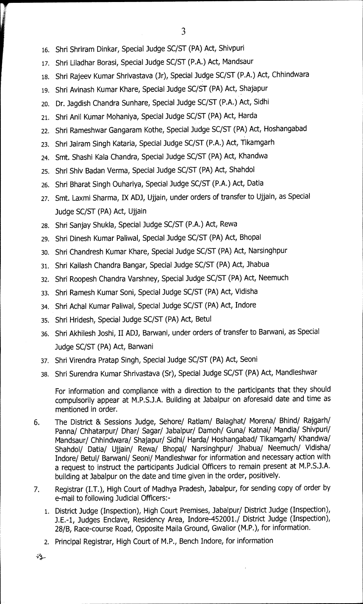- 16. Shri Shriram Dinkar, Special Judge SC/ST (PA) Act, Shivpuri
- 17. Shri Liladhar Borasi, Special Judge SC/ST (P.A.) Act, Mandsaur
- 18. Shri Rajeev Kumar Shrivastava (Jr), Special Judge SC/ST (P.A.) Act, Chhindwara
- 19. Shri Avinash Kumar Khare, Special Judge SC/ST (PA) Act, Shajapur
- zo. Dr. Jagdish Chandra Sunhare, Special Judge SC/ST (P.A.) Act, Sidhi
- 21. Shri Anil Kumar Mohaniya, Special Judge SC/ST (PA) Act, Harda
- 22. Shri Rameshwar Gangaram Kothe, Special Judge SC/ST (PA) Act, Hoshangabad
- 23. Shri Jairam Singh Kataria, Special Judge SC/ST (P.A.) Act, Tikamgarh
- 24. Smt. Shashi Kala Chandra, Special Judge SC/ST (PA) Act, Khandwa
- 25. Shri Shiv Badan Verma, Special Judge SC/ST (PA) Act, Shahdol
- 26. Shri Bharat Singh Ouhariya, Special Judge SC/ST (P.A.) Act, Datia
- 27. Smt. Laxmi Sharma, IX AD3, Ujjain, under orders of transfer to Ujjain, as Special Judge SC/ST (PA) Act, Ujjain
- 28. Shri Sanjay Shukla, Special Judge SC/ST (P.A.) Act, Rewa
- 29. Shri Dinesh Kumar Paliwal, Special Judge SC/ST (PA) Act, Bhopal
- 30. Shri Chandresh Kumar Khare, Special Judge SC/ST (PA) Act, Narsinghpur
- 31. Shri Kailash Chandra Bangar, Special Judge SC/ST (PA) Act, Jhabua
- 32. Shri Roopesh Chandra Varshney, Special Judge SC/ST (PA) Act, Neemuch
- 33. Shri Ramesh Kumar Soni, Special Judge SC/ST (PA) Act, Vidisha
- 34. Shri Achal Kumar Paliwal, Special Judge SC/ST (PA) Act, Indore
- 35. Shri Hridesh, Special Judge SC/ST (PA) Act, Betul
- 36. Shri Akhilesh Joshi, II AD3, Barwani, under orders of transfer to Barwani, as Special Judge SC/ST (PA) Act, Barwani
- 37. Shri Virendra Pratap Singh, Special Judge SC/ST (PA) Act, Seoni
- 38. Shri Surendra Kumar Shrivastava (Sr), Special Judge SC/ST (PA) Act, Mandleshwar

For information and compliance with a direction to the participants that they should compulsorily appear at M.P.S.J.A. Building at Jabalpur on aforesaid date and time as mentioned in order.

- 6. The District & Sessions Judge, Sehore/ Ratlam/ Balaghat/ Morena/ Bhind/ Rajgarh/ Panna/ Chhatarpur/ Dhar/ Sagar/ Jabalpur/ Damoh/ Guna/ Katnai/ Mandla/ Shivpuri/ Mandsaur/ Chhindwara/ Shajapur/ Sidhi/ Harda/ Hoshangabad/ Tikamgarh/ Khandwa/ Shahdol/ Datia/ Ujjain/ Rewa/ Bhopal/ Narsinghpur/ Jhabua/ Neemuch/ Vidisha/ Indore/ Betul/ Barwani/ Seoni/ Mandleshwar for information and necessary action with a request to instruct the participants Judicial Officers to remain present at M.P.S.J.A. building at Jabalpur on the date and time given in the order, positively.
- 7. Registrar (I.T.), High Court of Madhya Pradesh, Jabalpur, for sending copy of order by e-mail to following Judicial Officers:-
	- 1. District Judge (Inspection), High Court Premises, Jabalpur/ District Judge (Inspection), J.E.-1, Judges Enclave, Residency Area, Indore-452001./ District Judge (Inspection), 28/B, Race-course Road, Opposite Maila Ground, Gwalior (M.P.), for information.
	- 2. Principal Registrar, High Court of M.P., Bench Indore, for information